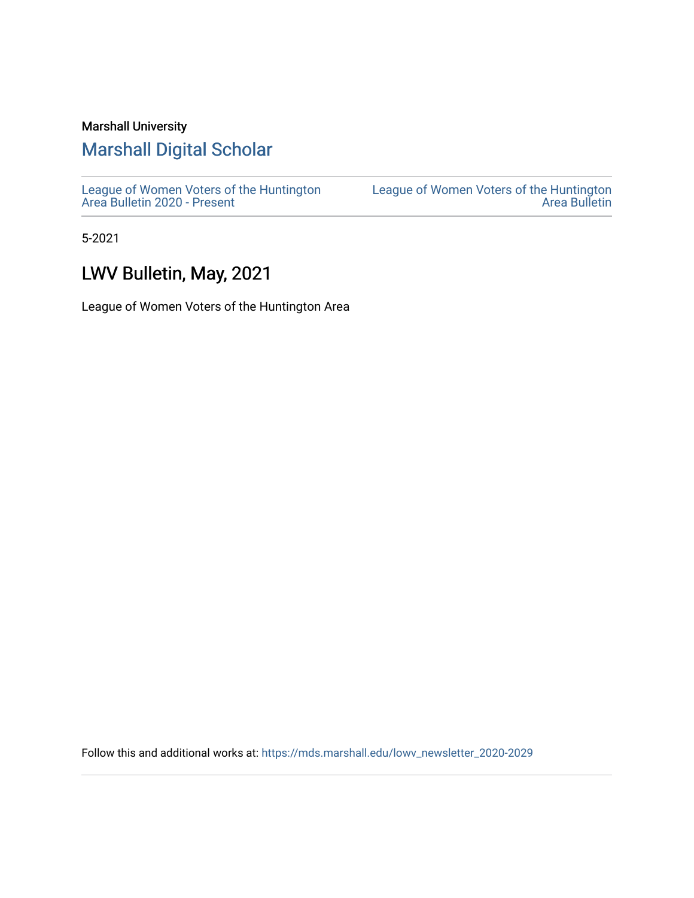## Marshall University

# [Marshall Digital Scholar](https://mds.marshall.edu/)

[League of Women Voters of the Huntington](https://mds.marshall.edu/lowv_newsletter_2020-2029) [Area Bulletin 2020 - Present](https://mds.marshall.edu/lowv_newsletter_2020-2029)

[League of Women Voters of the Huntington](https://mds.marshall.edu/lowv_newsletter)  [Area Bulletin](https://mds.marshall.edu/lowv_newsletter) 

5-2021

# LWV Bulletin, May, 2021

League of Women Voters of the Huntington Area

Follow this and additional works at: [https://mds.marshall.edu/lowv\\_newsletter\\_2020-2029](https://mds.marshall.edu/lowv_newsletter_2020-2029?utm_source=mds.marshall.edu%2Flowv_newsletter_2020-2029%2F6&utm_medium=PDF&utm_campaign=PDFCoverPages)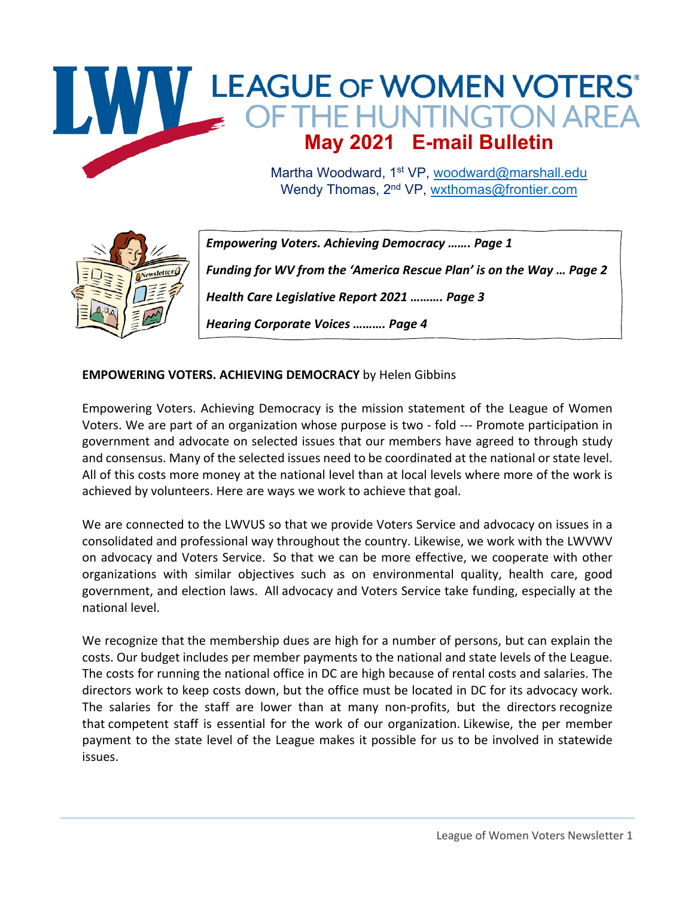

Wendy Thomas, 2<sup>nd</sup> VP, wxthomas@frontier.com



*Empowering Voters. Achieving Democracy ……. Page 1 Funding for WV from the 'America Rescue Plan' is on the Way … Page 2 Health Care Legislative Report 2021 ………. Page 3 Hearing Corporate Voices ………. Page 4*

#### **EMPOWERING VOTERS. ACHIEVING DEMOCRACY** by Helen Gibbins

Empowering Voters. Achieving Democracy is the mission statement of the League of Women Voters. We are part of an organization whose purpose is two - fold --- Promote participation in government and advocate on selected issues that our members have agreed to through study and consensus. Many of the selected issues need to be coordinated at the national or state level. All of this costs more money at the national level than at local levels where more of the work is achieved by volunteers. Here are ways we work to achieve that goal.

We are connected to the LWVUS so that we provide Voters Service and advocacy on issues in a consolidated and professional way throughout the country. Likewise, we work with the LWVWV on advocacy and Voters Service. So that we can be more effective, we cooperate with other organizations with similar objectives such as on environmental quality, health care, good government, and election laws. All advocacy and Voters Service take funding, especially at the national level.

We recognize that the membership dues are high for a number of persons, but can explain the costs. Our budget includes per member payments to the national and state levels of the League. The costs for running the national office in DC are high because of rental costs and salaries. The directors work to keep costs down, but the office must be located in DC for its advocacy work. The salaries for the staff are lower than at many non-profits, but the directors recognize that competent staff is essential for the work of our organization. Likewise, the per member payment to the state level of the League makes it possible for us to be involved in statewide issues.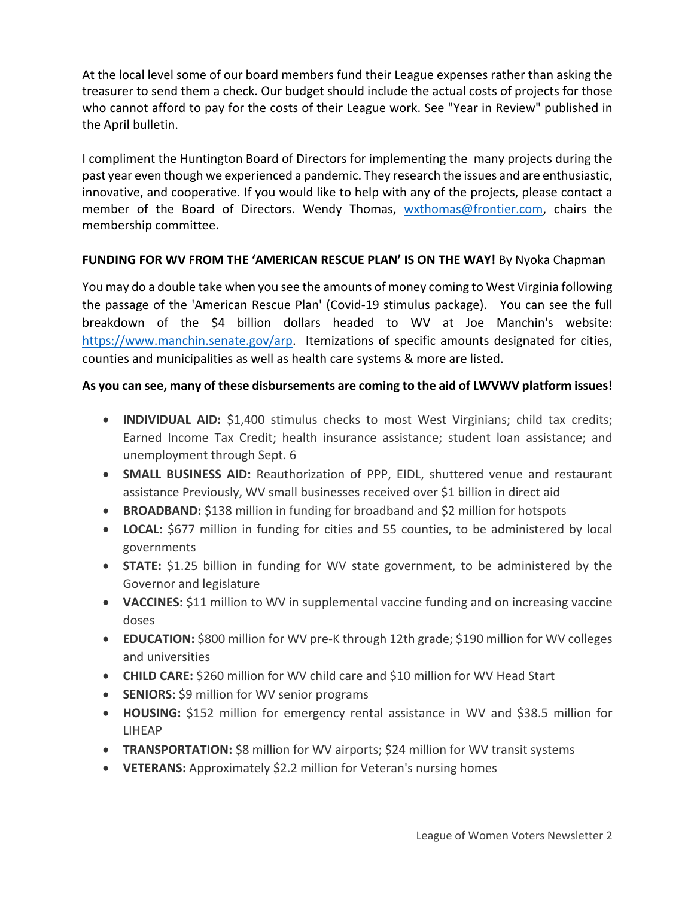At the local level some of our board members fund their League expenses rather than asking the treasurer to send them a check. Our budget should include the actual costs of projects for those who cannot afford to pay for the costs of their League work. See "Year in Review" published in the April bulletin.

I compliment the Huntington Board of Directors for implementing the many projects during the past year even though we experienced a pandemic. They research the issues and are enthusiastic, innovative, and cooperative. If you would like to help with any of the projects, please contact a member of the Board of Directors. Wendy Thomas, wxthomas@frontier.com, chairs the membership committee.

#### **FUNDING FOR WV FROM THE 'AMERICAN RESCUE PLAN' IS ON THE WAY!** By Nyoka Chapman

You may do a double take when you see the amounts of money coming to West Virginia following the passage of the 'American Rescue Plan' (Covid-19 stimulus package). You can see the full breakdown of the \$4 billion dollars headed to WV at Joe Manchin's website: https://www.manchin.senate.gov/arp. Itemizations of specific amounts designated for cities, counties and municipalities as well as health care systems & more are listed.

### **As you can see, many of these disbursements are coming to the aid of LWVWV platform issues!**

- **INDIVIDUAL AID:** \$1,400 stimulus checks to most West Virginians; child tax credits; Earned Income Tax Credit; health insurance assistance; student loan assistance; and unemployment through Sept. 6
- **SMALL BUSINESS AID:** Reauthorization of PPP, EIDL, shuttered venue and restaurant assistance Previously, WV small businesses received over \$1 billion in direct aid
- **BROADBAND:** \$138 million in funding for broadband and \$2 million for hotspots
- **LOCAL:** \$677 million in funding for cities and 55 counties, to be administered by local governments
- **STATE:** \$1.25 billion in funding for WV state government, to be administered by the Governor and legislature
- **VACCINES:** \$11 million to WV in supplemental vaccine funding and on increasing vaccine doses
- **EDUCATION:** \$800 million for WV pre-K through 12th grade; \$190 million for WV colleges and universities
- **CHILD CARE:** \$260 million for WV child care and \$10 million for WV Head Start
- **SENIORS:** \$9 million for WV senior programs
- **HOUSING:** \$152 million for emergency rental assistance in WV and \$38.5 million for LIHEAP
- **TRANSPORTATION:** \$8 million for WV airports; \$24 million for WV transit systems
- **VETERANS:** Approximately \$2.2 million for Veteran's nursing homes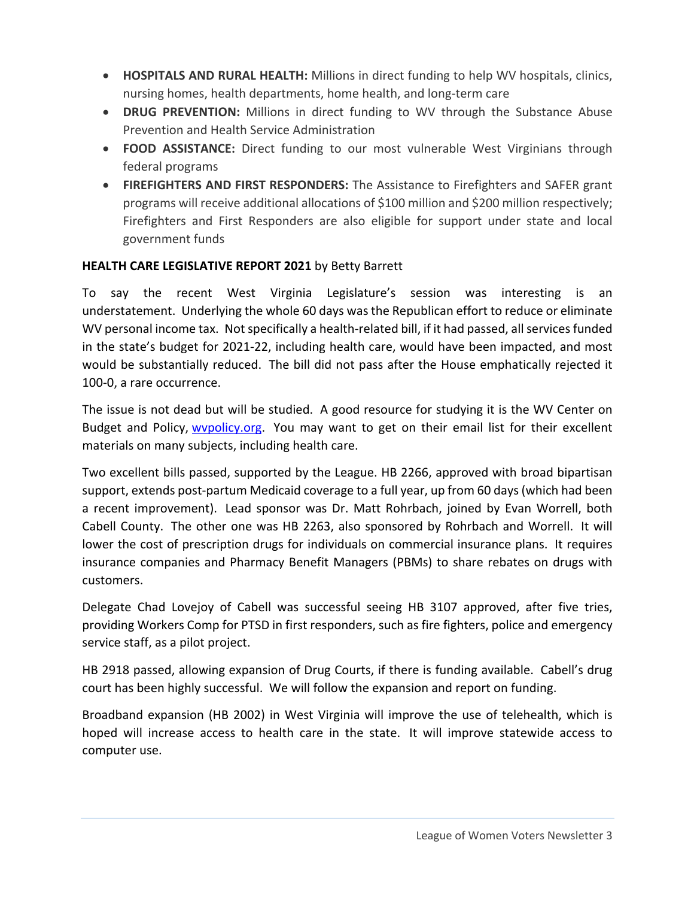- **HOSPITALS AND RURAL HEALTH:** Millions in direct funding to help WV hospitals, clinics, nursing homes, health departments, home health, and long-term care
- **DRUG PREVENTION:** Millions in direct funding to WV through the Substance Abuse Prevention and Health Service Administration
- **FOOD ASSISTANCE:** Direct funding to our most vulnerable West Virginians through federal programs
- **FIREFIGHTERS AND FIRST RESPONDERS:** The Assistance to Firefighters and SAFER grant programs will receive additional allocations of \$100 million and \$200 million respectively; Firefighters and First Responders are also eligible for support under state and local government funds

### **HEALTH CARE LEGISLATIVE REPORT 2021** by Betty Barrett

To say the recent West Virginia Legislature's session was interesting is an understatement. Underlying the whole 60 days was the Republican effort to reduce or eliminate WV personal income tax. Not specifically a health-related bill, if it had passed, all services funded in the state's budget for 2021-22, including health care, would have been impacted, and most would be substantially reduced. The bill did not pass after the House emphatically rejected it 100-0, a rare occurrence.

The issue is not dead but will be studied. A good resource for studying it is the WV Center on Budget and Policy, wvpolicy.org. You may want to get on their email list for their excellent materials on many subjects, including health care.

Two excellent bills passed, supported by the League. HB 2266, approved with broad bipartisan support, extends post-partum Medicaid coverage to a full year, up from 60 days (which had been a recent improvement). Lead sponsor was Dr. Matt Rohrbach, joined by Evan Worrell, both Cabell County. The other one was HB 2263, also sponsored by Rohrbach and Worrell. It will lower the cost of prescription drugs for individuals on commercial insurance plans. It requires insurance companies and Pharmacy Benefit Managers (PBMs) to share rebates on drugs with customers.

Delegate Chad Lovejoy of Cabell was successful seeing HB 3107 approved, after five tries, providing Workers Comp for PTSD in first responders, such as fire fighters, police and emergency service staff, as a pilot project.

HB 2918 passed, allowing expansion of Drug Courts, if there is funding available. Cabell's drug court has been highly successful. We will follow the expansion and report on funding.

Broadband expansion (HB 2002) in West Virginia will improve the use of telehealth, which is hoped will increase access to health care in the state. It will improve statewide access to computer use.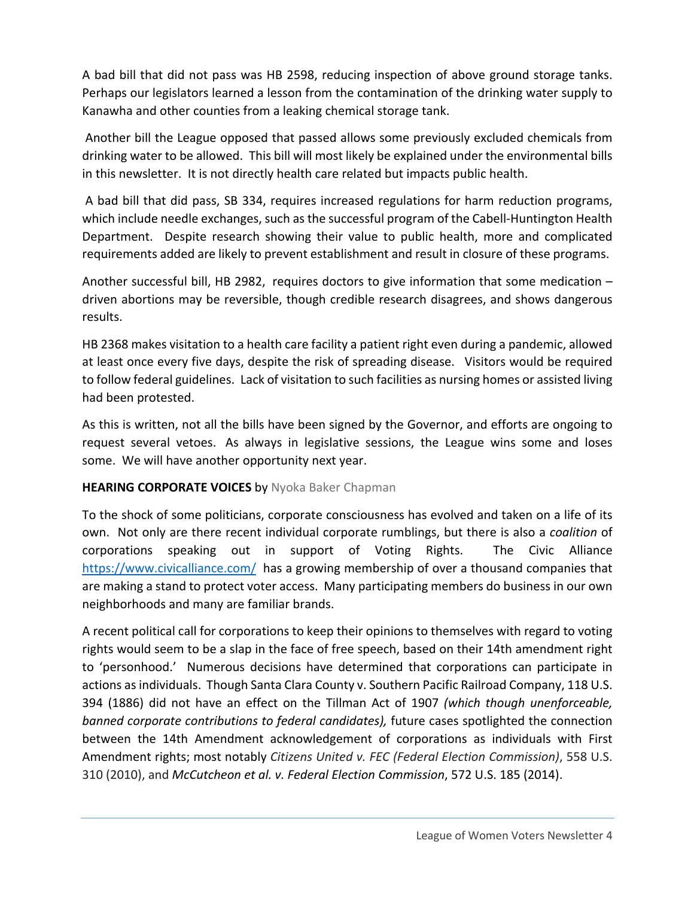A bad bill that did not pass was HB 2598, reducing inspection of above ground storage tanks. Perhaps our legislators learned a lesson from the contamination of the drinking water supply to Kanawha and other counties from a leaking chemical storage tank.

Another bill the League opposed that passed allows some previously excluded chemicals from drinking water to be allowed. This bill will most likely be explained under the environmental bills in this newsletter. It is not directly health care related but impacts public health.

A bad bill that did pass, SB 334, requires increased regulations for harm reduction programs, which include needle exchanges, such as the successful program of the Cabell-Huntington Health Department. Despite research showing their value to public health, more and complicated requirements added are likely to prevent establishment and result in closure of these programs.

Another successful bill, HB 2982, requires doctors to give information that some medication – driven abortions may be reversible, though credible research disagrees, and shows dangerous results.

HB 2368 makes visitation to a health care facility a patient right even during a pandemic, allowed at least once every five days, despite the risk of spreading disease. Visitors would be required to follow federal guidelines. Lack of visitation to such facilities as nursing homes or assisted living had been protested.

As this is written, not all the bills have been signed by the Governor, and efforts are ongoing to request several vetoes. As always in legislative sessions, the League wins some and loses some. We will have another opportunity next year.

#### **HEARING CORPORATE VOICES** by Nyoka Baker Chapman

To the shock of some politicians, corporate consciousness has evolved and taken on a life of its own. Not only are there recent individual corporate rumblings, but there is also a *coalition* of corporations speaking out in support of Voting Rights. The Civic Alliance https://www.civicalliance.com/ has a growing membership of over a thousand companies that are making a stand to protect voter access. Many participating members do business in our own neighborhoods and many are familiar brands.

A recent political call for corporations to keep their opinions to themselves with regard to voting rights would seem to be a slap in the face of free speech, based on their 14th amendment right to 'personhood.' Numerous decisions have determined that corporations can participate in actions as individuals. Though Santa Clara County v. Southern Pacific Railroad Company, 118 U.S. 394 (1886) did not have an effect on the Tillman Act of 1907 *(which though unenforceable, banned corporate contributions to federal candidates),* future cases spotlighted the connection between the 14th Amendment acknowledgement of corporations as individuals with First Amendment rights; most notably *Citizens United v. FEC (Federal Election Commission)*, 558 U.S. 310 (2010), and *McCutcheon et al. v. Federal Election Commission*, 572 U.S. 185 (2014).